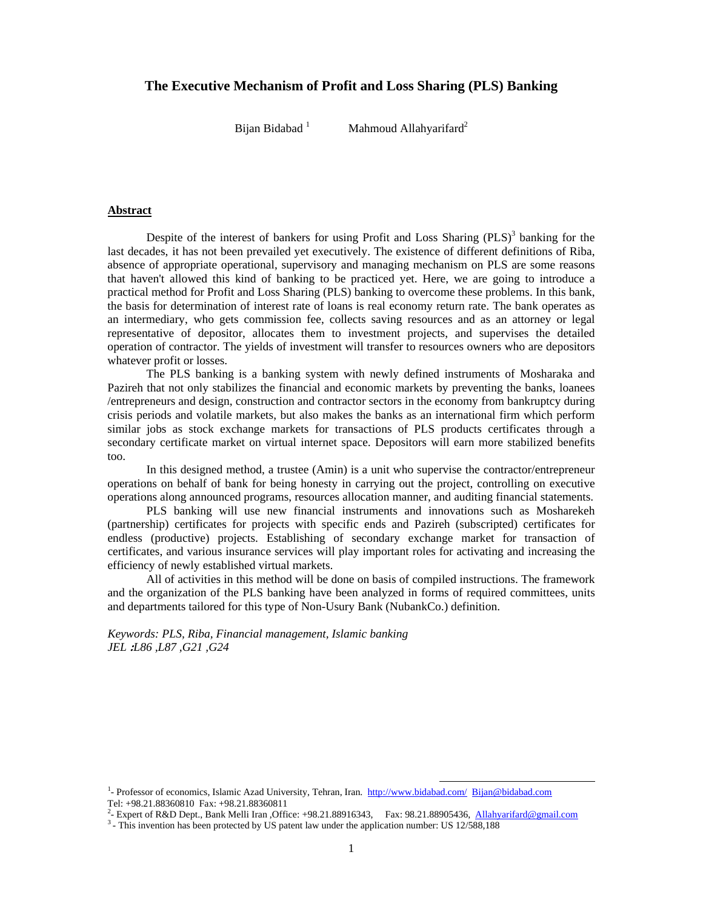# **The Executive Mechanism of Profit and Loss Sharing (PLS) Banking**

Bijan Bidabad<sup>1</sup>

Mahmoud Allahyarifard<sup>2</sup>

## **Abstract**

Despite of the interest of bankers for using Profit and Loss Sharing  $(PLS)^3$  banking for the last decades, it has not been prevailed yet executively. The existence of different definitions of Riba, absence of appropriate operational, supervisory and managing mechanism on PLS are some reasons that haven't allowed this kind of banking to be practiced yet. Here, we are going to introduce a practical method for Profit and Loss Sharing (PLS) banking to overcome these problems. In this bank, the basis for determination of interest rate of loans is real economy return rate. The bank operates as an intermediary, who gets commission fee, collects saving resources and as an attorney or legal representative of depositor, allocates them to investment projects, and supervises the detailed operation of contractor. The yields of investment will transfer to resources owners who are depositors whatever profit or losses.

The PLS banking is a banking system with newly defined instruments of Mosharaka and Pazireh that not only stabilizes the financial and economic markets by preventing the banks, loanees /entrepreneurs and design, construction and contractor sectors in the economy from bankruptcy during crisis periods and volatile markets, but also makes the banks as an international firm which perform similar jobs as stock exchange markets for transactions of PLS products certificates through a secondary certificate market on virtual internet space. Depositors will earn more stabilized benefits too.

In this designed method, a trustee (Amin) is a unit who supervise the contractor/entrepreneur operations on behalf of bank for being honesty in carrying out the project, controlling on executive operations along announced programs, resources allocation manner, and auditing financial statements.

PLS banking will use new financial instruments and innovations such as Mosharekeh (partnership) certificates for projects with specific ends and Pazireh (subscripted) certificates for endless (productive) projects. Establishing of secondary exchange market for transaction of certificates, and various insurance services will play important roles for activating and increasing the efficiency of newly established virtual markets.

All of activities in this method will be done on basis of compiled instructions. The framework and the organization of the PLS banking have been analyzed in forms of required committees, units and departments tailored for this type of Non-Usury Bank (NubankCo.) definition.

*Keywords: PLS, Riba, Financial management, Islamic banking JEL* **:***L86 ,L87 ,G21 ,G24* 

<sup>&</sup>lt;sup>1</sup>- Professor of economics, Islamic Azad University, Tehran, Iran. http://www.bidabad.com/ Bijan@bidabad.com Tel: +98.21.88360810 Fax: +98.21.88360811

<sup>&</sup>lt;sup>2</sup>- Expert of R&D Dept., Bank Melli Iran , Office: +98.21.88916343, Fax: 98.21.88905436, Allahyarifard@gmail.com  $3$ - This invention has been protected by US patent law under the application number: US 12/588,188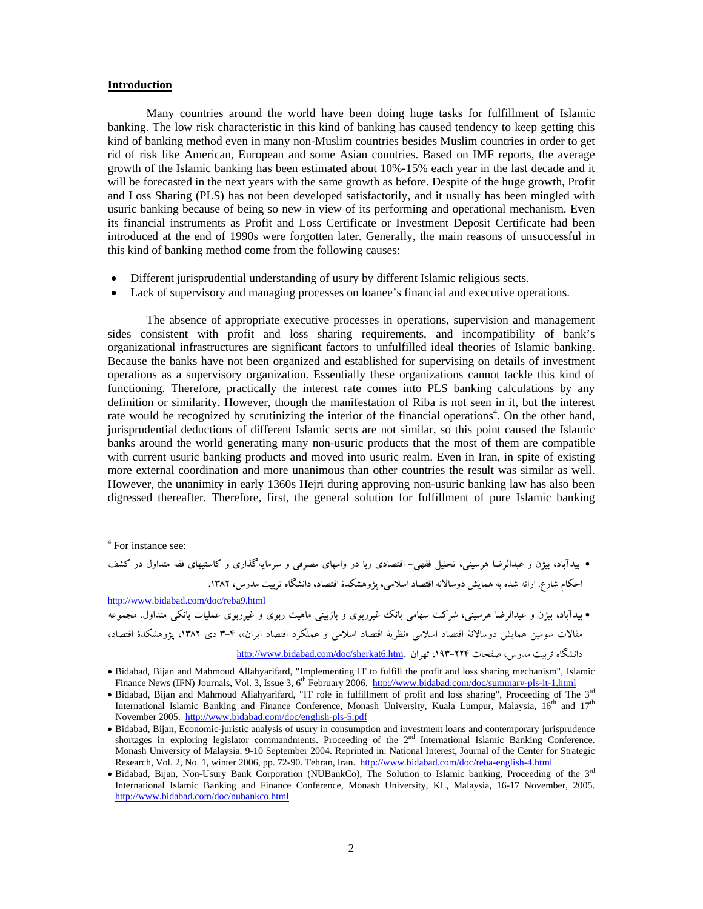#### **Introduction**

Many countries around the world have been doing huge tasks for fulfillment of Islamic banking. The low risk characteristic in this kind of banking has caused tendency to keep getting this kind of banking method even in many non-Muslim countries besides Muslim countries in order to get rid of risk like American, European and some Asian countries. Based on IMF reports, the average growth of the Islamic banking has been estimated about 10%-15% each year in the last decade and it will be forecasted in the next years with the same growth as before. Despite of the huge growth, Profit and Loss Sharing (PLS) has not been developed satisfactorily, and it usually has been mingled with usuric banking because of being so new in view of its performing and operational mechanism. Even its financial instruments as Profit and Loss Certificate or Investment Deposit Certificate had been introduced at the end of 1990s were forgotten later. Generally, the main reasons of unsuccessful in this kind of banking method come from the following causes:

- Different jurisprudential understanding of usury by different Islamic religious sects.
- Lack of supervisory and managing processes on loanee's financial and executive operations.

The absence of appropriate executive processes in operations, supervision and management sides consistent with profit and loss sharing requirements, and incompatibility of bank's organizational infrastructures are significant factors to unfulfilled ideal theories of Islamic banking. Because the banks have not been organized and established for supervising on details of investment operations as a supervisory organization. Essentially these organizations cannot tackle this kind of functioning. Therefore, practically the interest rate comes into PLS banking calculations by any definition or similarity. However, though the manifestation of Riba is not seen in it, but the interest rate would be recognized by scrutinizing the interior of the financial operations<sup>4</sup>. On the other hand, jurisprudential deductions of different Islamic sects are not similar, so this point caused the Islamic banks around the world generating many non-usuric products that the most of them are compatible with current usuric banking products and moved into usuric realm. Even in Iran, in spite of existing more external coordination and more unanimous than other countries the result was similar as well. However, the unanimity in early 1360s Hejri during approving non-usuric banking law has also been digressed thereafter. Therefore, first, the general solution for fulfillment of pure Islamic banking

4 For instance see:

 بيدآباد، بيژن و عبدالرضا هرسيني، تحليل فقهي- اقتصادي ربا در وامهاي مصرفي و سرمايهگذاري و كاستيهاي فقه متداول در كشف احكام شارع. ارائه شده به همايش دوسالانه اقتصاد اسلامي، پژوهشكدة اقتصاد، دانشگاه تربيت مدرس، .1382 http://www.bidabad.com/doc/reba9.html بيدآباد، بيژن و عبدالرضا هرسيني، شركت سهامي بانك غيرربوي و بازبيني ماهيت ربوي و غيرربوي عمليات بانكي متداول. مجموعه

مقالات سومين همايش دوسالانة اقتصاد اسلامي «نظرية اقتصاد اسلامي و عملكرد اقتصاد ايران»، 3-4 دي ،1382 پژوهشكدة اقتصاد،

<u>http://www.bidabad.com/doc/sherkat6.htm</u>. تهران .<u>http:</u>//www.bidabad.com/doc/sherkat6.htm</u>

 $\overline{a}$ 

Bidabad, Bijan and Mahmoud Allahyarifard, "Implementing IT to fulfill the profit and loss sharing mechanism", Islamic Finance News (IFN) Journals, Vol. 3, Issue 3, 6<sup>th</sup> February 2006. http://www.bidabad.com/doc/summary-pls-it-1.html

<sup>•</sup> Bidabad, Bijan and Mahmoud Allahyarifard, "IT role in fulfillment of profit and loss sharing", Proceeding of The 3<sup>rd</sup> International Islamic Banking and Finance Conference, Monash University, Kuala Lumpur, Malaysia, 16<sup>th</sup> and 17<sup>th</sup> November 2005. http://www.bidabad.com/doc/english-pls-5.pdf

Bidabad, Bijan, Economic-juristic analysis of usury in consumption and investment loans and contemporary jurisprudence shortages in exploring legislator commandments. Proceeding of the 2<sup>nd</sup> International Islamic Banking Conference. Monash University of Malaysia. 9-10 September 2004. Reprinted in: National Interest, Journal of the Center for Strategic Research, Vol. 2, No. 1, winter 2006, pp. 72-90. Tehran, Iran. http://www.bidabad.com/doc/reba-english-4.html

<sup>•</sup> Bidabad, Bijan, Non-Usury Bank Corporation (NUBankCo), The Solution to Islamic banking, Proceeding of the 3<sup>rd</sup> International Islamic Banking and Finance Conference, Monash University, KL, Malaysia, 16-17 November, 2005. http://www.bidabad.com/doc/nubankco.html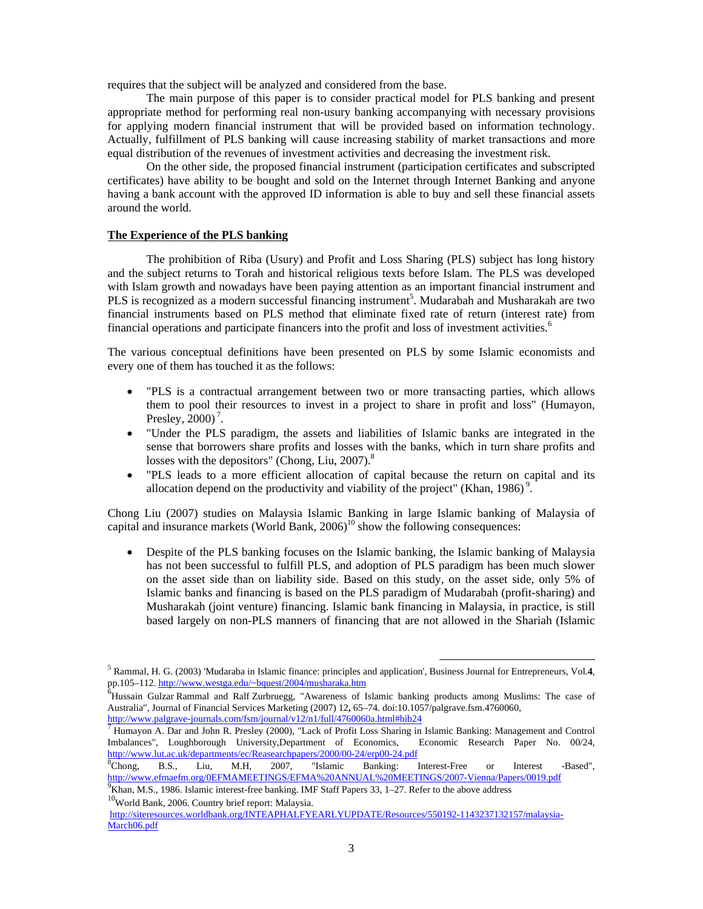requires that the subject will be analyzed and considered from the base.

The main purpose of this paper is to consider practical model for PLS banking and present appropriate method for performing real non-usury banking accompanying with necessary provisions for applying modern financial instrument that will be provided based on information technology. Actually, fulfillment of PLS banking will cause increasing stability of market transactions and more equal distribution of the revenues of investment activities and decreasing the investment risk.

On the other side, the proposed financial instrument (participation certificates and subscripted certificates) have ability to be bought and sold on the Internet through Internet Banking and anyone having a bank account with the approved ID information is able to buy and sell these financial assets around the world.

## **The Experience of the PLS banking**

 The prohibition of Riba (Usury) and Profit and Loss Sharing (PLS) subject has long history and the subject returns to Torah and historical religious texts before Islam. The PLS was developed with Islam growth and nowadays have been paying attention as an important financial instrument and PLS is recognized as a modern successful financing instrument<sup>5</sup>. Mudarabah and Musharakah are two financial instruments based on PLS method that eliminate fixed rate of return (interest rate) from financial operations and participate financers into the profit and loss of investment activities.<sup>6</sup>

The various conceptual definitions have been presented on PLS by some Islamic economists and every one of them has touched it as the follows:

- "PLS is a contractual arrangement between two or more transacting parties, which allows them to pool their resources to invest in a project to share in profit and loss" (Humayon, Presley,  $2000$ <sup>7</sup>.
- "Under the PLS paradigm, the assets and liabilities of Islamic banks are integrated in the sense that borrowers share profits and losses with the banks, which in turn share profits and losses with the depositors" (Chong, Liu,  $2007$ ).<sup>8</sup>
- "PLS leads to a more efficient allocation of capital because the return on capital and its allocation depend on the productivity and viability of the project" (Khan, 1986)<sup>9</sup>.

Chong Liu (2007) studies on Malaysia Islamic Banking in large Islamic banking of Malaysia of capital and insurance markets (World Bank,  $2006$ <sup>10</sup> show the following consequences:

 Despite of the PLS banking focuses on the Islamic banking, the Islamic banking of Malaysia has not been successful to fulfill PLS, and adoption of PLS paradigm has been much slower on the asset side than on liability side. Based on this study, on the asset side, only 5% of Islamic banks and financing is based on the PLS paradigm of Mudarabah (profit-sharing) and Musharakah (joint venture) financing. Islamic bank financing in Malaysia, in practice, is still based largely on non-PLS manners of financing that are not allowed in the Shariah (Islamic

 <sup>5</sup> Rammal, H. G. (2003) 'Mudaraba in Islamic finance: principles and application', Business Journal for Entrepreneurs, Vol.**4**, pp.105–112. http://www.westga.edu/~bquest/2004/musharaka.htm

<sup>&</sup>lt;sup>6</sup>Hussain Gulzar Rammal and Ralf Zurbruegg, "Awareness of Islamic banking products among Muslims: The case of Australia", Journal of Financial Services Marketing (2007) 12, 65–74. doi:10.1057/palgrave.fsm.4760060, http://www.palgrave-journals.com/fsm/journal/v12/n1/full/4760060a.html#bib24

<sup>&</sup>lt;sup>7</sup> Humayon A. Dar and John R. Presley (2000), "Lack of Profit Loss Sharing in Islamic Banking: Management and Control Imbalances", Loughborough University,Department of Economics, Economic Research Paper No. 00/24, http://www.lut.ac.uk/departments/ec/Reasearchpapers/2000/00-24/erp00-24.pdf

<sup>&</sup>lt;sup>8</sup>Chong, Chong, B.S., Liu, M.H, 2007, "Islamic Banking: Interest-Free or Interest -Based", http://www.efmaefm.org/0EFMAMEETINGS/EFMA%20ANNUAL%20MEETINGS/2007-Vienna/Papers/0019.pdf

<sup>&</sup>lt;sup>9</sup>Khan, M.S., 1986. Islamic interest-free banking. IMF Staff Papers 33, 1-27. Refer to the above address

<sup>10</sup>World Bank, 2006. Country brief report: Malaysia.

http://siteresources.worldbank.org/INTEAPHALFYEARLYUPDATE/Resources/550192-1143237132157/malaysia-March06.pdf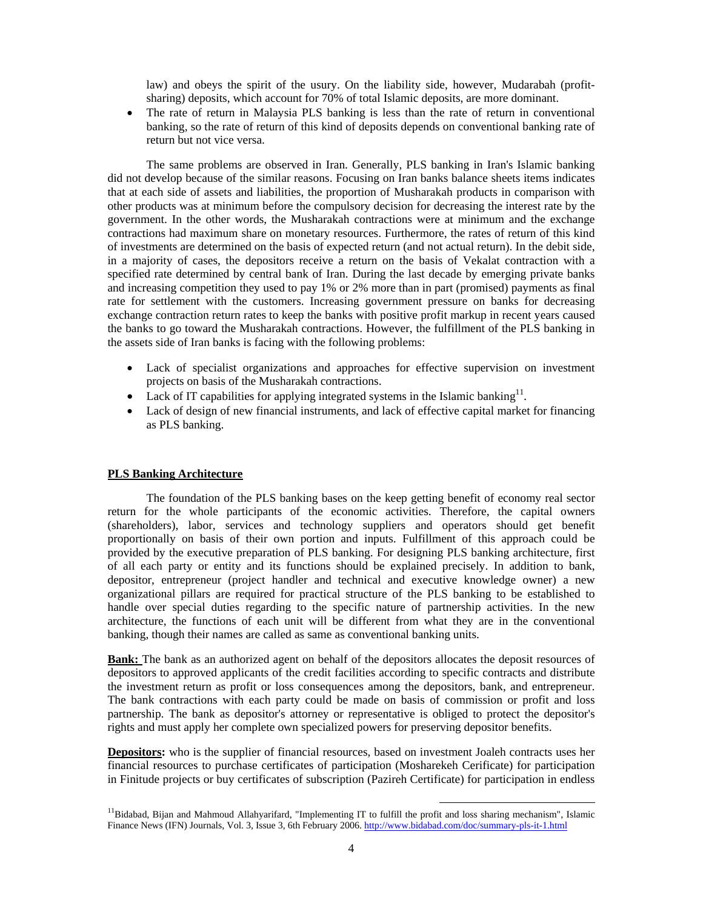law) and obeys the spirit of the usury. On the liability side, however, Mudarabah (profitsharing) deposits, which account for 70% of total Islamic deposits, are more dominant.

 The rate of return in Malaysia PLS banking is less than the rate of return in conventional banking, so the rate of return of this kind of deposits depends on conventional banking rate of return but not vice versa.

 The same problems are observed in Iran. Generally, PLS banking in Iran's Islamic banking did not develop because of the similar reasons. Focusing on Iran banks balance sheets items indicates that at each side of assets and liabilities, the proportion of Musharakah products in comparison with other products was at minimum before the compulsory decision for decreasing the interest rate by the government. In the other words, the Musharakah contractions were at minimum and the exchange contractions had maximum share on monetary resources. Furthermore, the rates of return of this kind of investments are determined on the basis of expected return (and not actual return). In the debit side, in a majority of cases, the depositors receive a return on the basis of Vekalat contraction with a specified rate determined by central bank of Iran. During the last decade by emerging private banks and increasing competition they used to pay 1% or 2% more than in part (promised) payments as final rate for settlement with the customers. Increasing government pressure on banks for decreasing exchange contraction return rates to keep the banks with positive profit markup in recent years caused the banks to go toward the Musharakah contractions. However, the fulfillment of the PLS banking in the assets side of Iran banks is facing with the following problems:

- Lack of specialist organizations and approaches for effective supervision on investment projects on basis of the Musharakah contractions.
- Lack of IT capabilities for applying integrated systems in the Islamic banking<sup>11</sup>.
- Lack of design of new financial instruments, and lack of effective capital market for financing as PLS banking.

## **PLS Banking Architecture**

 The foundation of the PLS banking bases on the keep getting benefit of economy real sector return for the whole participants of the economic activities. Therefore, the capital owners (shareholders), labor, services and technology suppliers and operators should get benefit proportionally on basis of their own portion and inputs. Fulfillment of this approach could be provided by the executive preparation of PLS banking. For designing PLS banking architecture, first of all each party or entity and its functions should be explained precisely. In addition to bank, depositor, entrepreneur (project handler and technical and executive knowledge owner) a new organizational pillars are required for practical structure of the PLS banking to be established to handle over special duties regarding to the specific nature of partnership activities. In the new architecture, the functions of each unit will be different from what they are in the conventional banking, though their names are called as same as conventional banking units.

**Bank:** The bank as an authorized agent on behalf of the depositors allocates the deposit resources of depositors to approved applicants of the credit facilities according to specific contracts and distribute the investment return as profit or loss consequences among the depositors, bank, and entrepreneur. The bank contractions with each party could be made on basis of commission or profit and loss partnership. The bank as depositor's attorney or representative is obliged to protect the depositor's rights and must apply her complete own specialized powers for preserving depositor benefits.

**Depositors:** who is the supplier of financial resources, based on investment Joaleh contracts uses her financial resources to purchase certificates of participation (Mosharekeh Cerificate) for participation in Finitude projects or buy certificates of subscription (Pazireh Certificate) for participation in endless

<sup>&</sup>lt;sup>11</sup>Bidabad, Bijan and Mahmoud Allahyarifard, "Implementing IT to fulfill the profit and loss sharing mechanism", Islamic Finance News (IFN) Journals, Vol. 3, Issue 3, 6th February 2006. http://www.bidabad.com/doc/summary-pls-it-1.html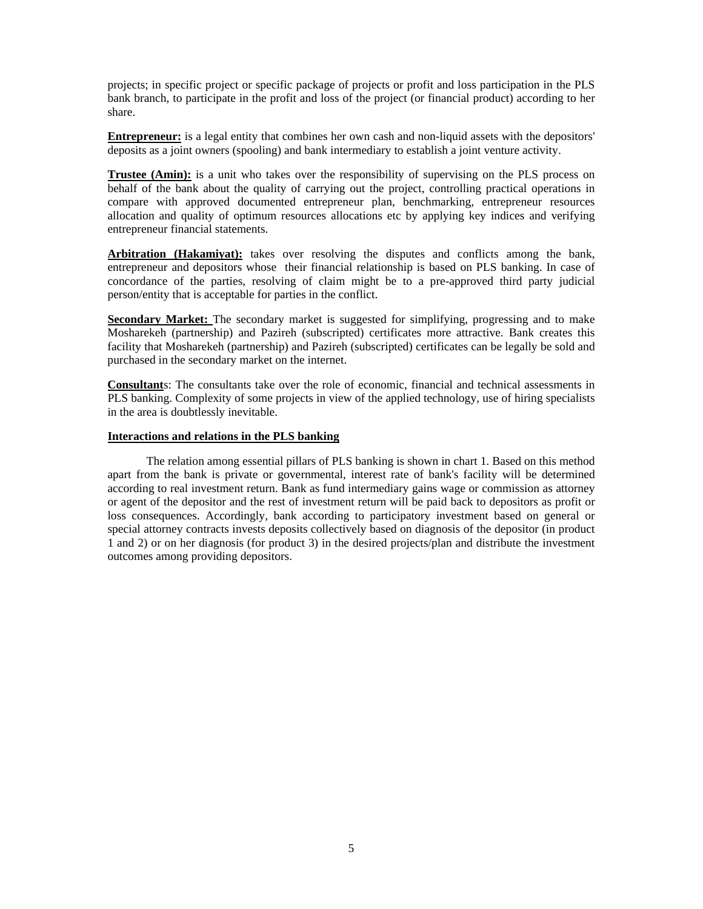projects; in specific project or specific package of projects or profit and loss participation in the PLS bank branch, to participate in the profit and loss of the project (or financial product) according to her share.

**Entrepreneur:** is a legal entity that combines her own cash and non-liquid assets with the depositors' deposits as a joint owners (spooling) and bank intermediary to establish a joint venture activity.

**Trustee (Amin):** is a unit who takes over the responsibility of supervising on the PLS process on behalf of the bank about the quality of carrying out the project, controlling practical operations in compare with approved documented entrepreneur plan, benchmarking, entrepreneur resources allocation and quality of optimum resources allocations etc by applying key indices and verifying entrepreneur financial statements.

**Arbitration (Hakamiyat):** takes over resolving the disputes and conflicts among the bank, entrepreneur and depositors whose their financial relationship is based on PLS banking. In case of concordance of the parties, resolving of claim might be to a pre-approved third party judicial person/entity that is acceptable for parties in the conflict.

**Secondary Market:** The secondary market is suggested for simplifying, progressing and to make Mosharekeh (partnership) and Pazireh (subscripted) certificates more attractive. Bank creates this facility that Mosharekeh (partnership) and Pazireh (subscripted) certificates can be legally be sold and purchased in the secondary market on the internet.

**Consultant**s: The consultants take over the role of economic, financial and technical assessments in PLS banking. Complexity of some projects in view of the applied technology, use of hiring specialists in the area is doubtlessly inevitable.

## **Interactions and relations in the PLS banking**

 The relation among essential pillars of PLS banking is shown in chart 1. Based on this method apart from the bank is private or governmental, interest rate of bank's facility will be determined according to real investment return. Bank as fund intermediary gains wage or commission as attorney or agent of the depositor and the rest of investment return will be paid back to depositors as profit or loss consequences. Accordingly, bank according to participatory investment based on general or special attorney contracts invests deposits collectively based on diagnosis of the depositor (in product 1 and 2) or on her diagnosis (for product 3) in the desired projects/plan and distribute the investment outcomes among providing depositors.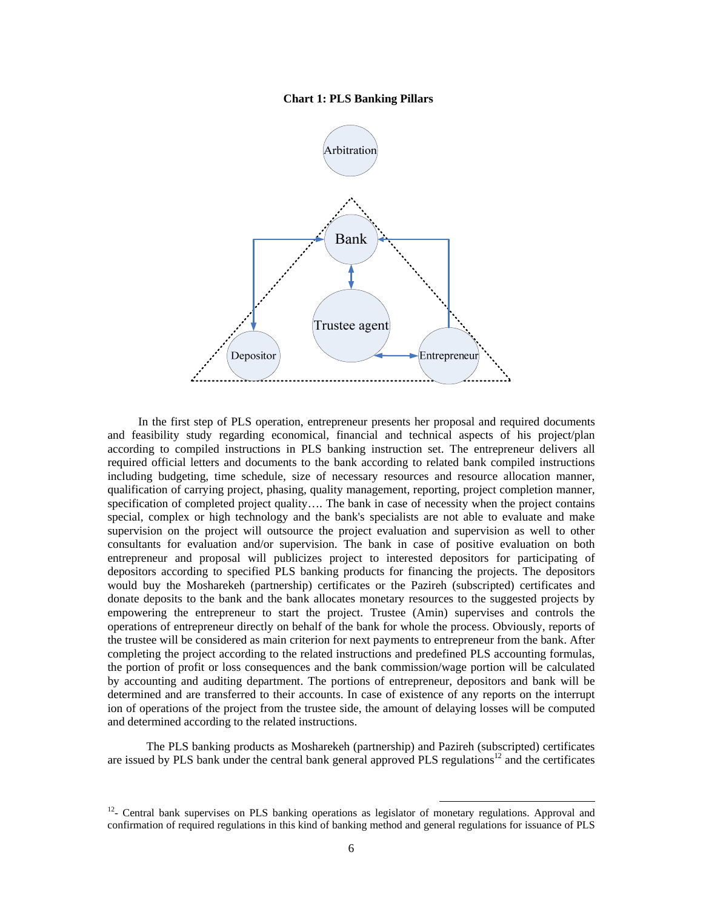## **Chart 1: PLS Banking Pillars**



In the first step of PLS operation, entrepreneur presents her proposal and required documents and feasibility study regarding economical, financial and technical aspects of his project/plan according to compiled instructions in PLS banking instruction set. The entrepreneur delivers all required official letters and documents to the bank according to related bank compiled instructions including budgeting, time schedule, size of necessary resources and resource allocation manner, qualification of carrying project, phasing, quality management, reporting, project completion manner, specification of completed project quality.... The bank in case of necessity when the project contains special, complex or high technology and the bank's specialists are not able to evaluate and make supervision on the project will outsource the project evaluation and supervision as well to other consultants for evaluation and/or supervision. The bank in case of positive evaluation on both entrepreneur and proposal will publicizes project to interested depositors for participating of depositors according to specified PLS banking products for financing the projects. The depositors would buy the Mosharekeh (partnership) certificates or the Pazireh (subscripted) certificates and donate deposits to the bank and the bank allocates monetary resources to the suggested projects by empowering the entrepreneur to start the project. Trustee (Amin) supervises and controls the operations of entrepreneur directly on behalf of the bank for whole the process. Obviously, reports of the trustee will be considered as main criterion for next payments to entrepreneur from the bank. After completing the project according to the related instructions and predefined PLS accounting formulas, the portion of profit or loss consequences and the bank commission/wage portion will be calculated by accounting and auditing department. The portions of entrepreneur, depositors and bank will be determined and are transferred to their accounts. In case of existence of any reports on the interrupt ion of operations of the project from the trustee side, the amount of delaying losses will be computed and determined according to the related instructions.

 The PLS banking products as Mosharekeh (partnership) and Pazireh (subscripted) certificates are issued by PLS bank under the central bank general approved PLS regulations<sup>12</sup> and the certificates

 $12$ - Central bank supervises on PLS banking operations as legislator of monetary regulations. Approval and confirmation of required regulations in this kind of banking method and general regulations for issuance of PLS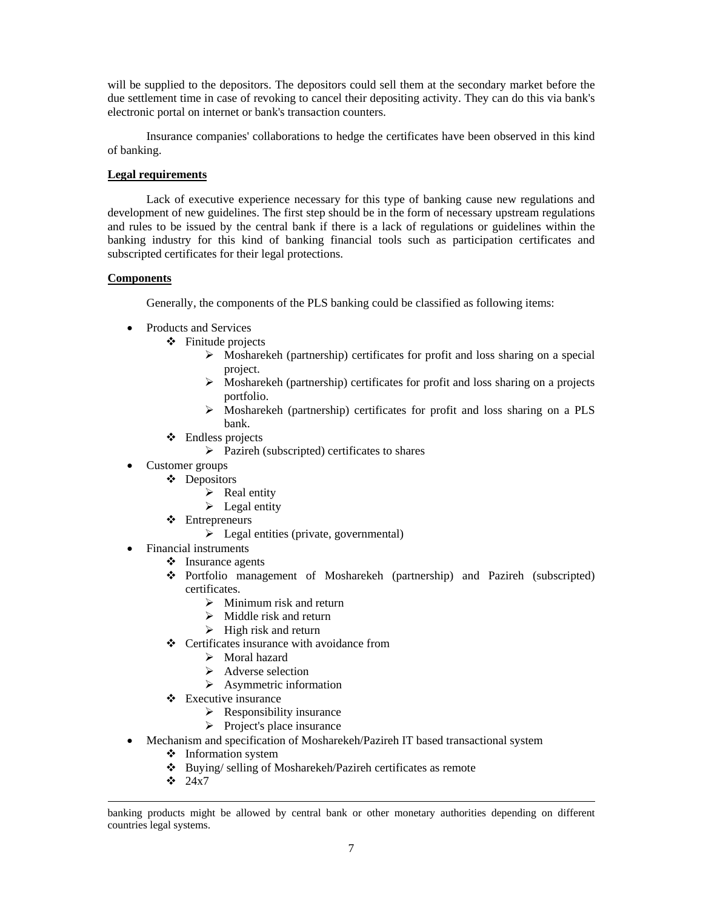will be supplied to the depositors. The depositors could sell them at the secondary market before the due settlement time in case of revoking to cancel their depositing activity. They can do this via bank's electronic portal on internet or bank's transaction counters.

Insurance companies' collaborations to hedge the certificates have been observed in this kind of banking.

## **Legal requirements**

Lack of executive experience necessary for this type of banking cause new regulations and development of new guidelines. The first step should be in the form of necessary upstream regulations and rules to be issued by the central bank if there is a lack of regulations or guidelines within the banking industry for this kind of banking financial tools such as participation certificates and subscripted certificates for their legal protections.

## **Components**

Generally, the components of the PLS banking could be classified as following items:

- Products and Services
	- $\div$  Finitude projects
		- $\triangleright$  Mosharekeh (partnership) certificates for profit and loss sharing on a special project.
		- $\triangleright$  Mosharekeh (partnership) certificates for profit and loss sharing on a projects portfolio.
		- Mosharekeh (partnership) certificates for profit and loss sharing on a PLS bank.
	- Endless projects
		- $\triangleright$  Pazireh (subscripted) certificates to shares
- Customer groups
	- ❖ Depositors
		- $\triangleright$  Real entity
		- $\blacktriangleright$  Legal entity
	- Entrepreneurs
		- $\triangleright$  Legal entities (private, governmental)
- Financial instruments
	- $\div$  Insurance agents
	- Portfolio management of Mosharekeh (partnership) and Pazireh (subscripted) certificates.
		- $\triangleright$  Minimum risk and return
		- $\triangleright$  Middle risk and return
		- $\triangleright$  High risk and return
	- Certificates insurance with avoidance from
		- > Moral hazard
		- $\triangleright$  Adverse selection
		- $\triangleright$  Asymmetric information
	- Executive insurance
		- $\triangleright$  Responsibility insurance
		- $\triangleright$  Project's place insurance
- Mechanism and specification of Mosharekeh/Pazireh IT based transactional system
	- ❖ Information system
	- Buying/ selling of Mosharekeh/Pazireh certificates as remote
	- $\div$  24x7

 $\overline{a}$ 

banking products might be allowed by central bank or other monetary authorities depending on different countries legal systems.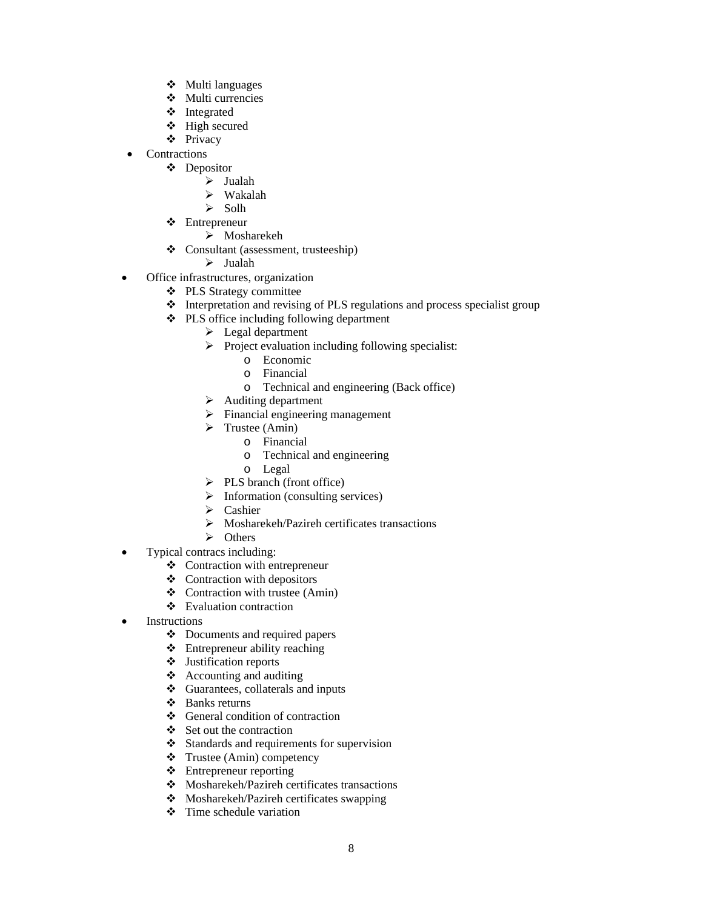- $\div$  Multi languages
- Multi currencies
- Integrated
- High secured
- Privacy
- Contractions
	- ❖ Depositor
		- $\triangleright$  Jualah
		- Wakalah
		- $\triangleright$  Solh
	- Entrepreneur
		- > Mosharekeh
	- Consultant (assessment, trusteeship)
		- $\triangleright$  Jualah
- Office infrastructures, organization
	- PLS Strategy committee
	- $\triangleleft$  Interpretation and revising of PLS regulations and process specialist group
	- PLS office including following department
		- $\blacktriangleright$  Legal department
		- $\triangleright$  Project evaluation including following specialist:
			- o Economic
			- o Financial
			- o Technical and engineering (Back office)
		- $\triangleright$  Auditing department
		- $\triangleright$  Financial engineering management
		- $\triangleright$  Trustee (Amin)
			- o Financial
			- o Technical and engineering
			- o Legal
		- $\triangleright$  PLS branch (front office)
		- $\triangleright$  Information (consulting services)
		- $\triangleright$  Cashier
		- $\triangleright$  Mosharekeh/Pazireh certificates transactions
		- $\triangleright$  Others
- Typical contracs including:
	- Contraction with entrepreneur
	- $\triangleleft$  Contraction with depositors
	- $\triangleleft$  Contraction with trustee (Amin)
	- Evaluation contraction
- Instructions
	- Documents and required papers
	- Entrepreneur ability reaching
	- Justification reports
	- $\triangleleft$  Accounting and auditing
	- $\triangleleft$  Guarantees, collaterals and inputs
	- Banks returns
	- General condition of contraction
	- $\div$  Set out the contraction
	- ❖ Standards and requirements for supervision
	- Trustee (Amin) competency
	- Entrepreneur reporting
	- Mosharekeh/Pazireh certificates transactions
	- Mosharekeh/Pazireh certificates swapping
	- $\div$  Time schedule variation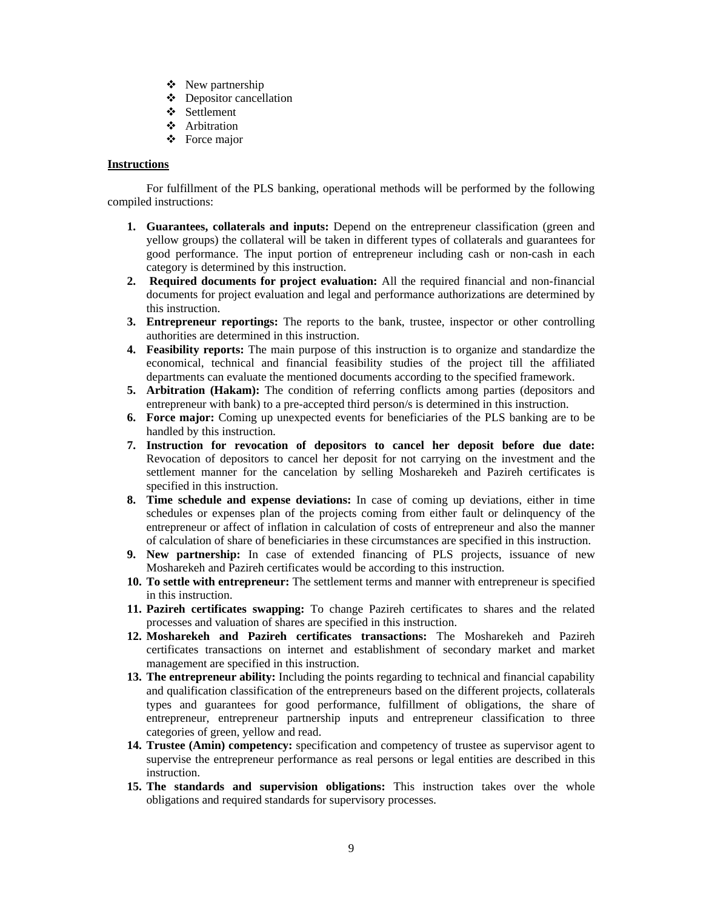- $\div$  New partnership
- Depositor cancellation
- Settlement
- Arbitration
- Force major

## **Instructions**

 For fulfillment of the PLS banking, operational methods will be performed by the following compiled instructions:

- **1. Guarantees, collaterals and inputs:** Depend on the entrepreneur classification (green and yellow groups) the collateral will be taken in different types of collaterals and guarantees for good performance. The input portion of entrepreneur including cash or non-cash in each category is determined by this instruction.
- **2. Required documents for project evaluation:** All the required financial and non-financial documents for project evaluation and legal and performance authorizations are determined by this instruction.
- **3. Entrepreneur reportings:** The reports to the bank, trustee, inspector or other controlling authorities are determined in this instruction.
- **4. Feasibility reports:** The main purpose of this instruction is to organize and standardize the economical, technical and financial feasibility studies of the project till the affiliated departments can evaluate the mentioned documents according to the specified framework.
- **5. Arbitration (Hakam):** The condition of referring conflicts among parties (depositors and entrepreneur with bank) to a pre-accepted third person/s is determined in this instruction.
- **6. Force major:** Coming up unexpected events for beneficiaries of the PLS banking are to be handled by this instruction.
- **7. Instruction for revocation of depositors to cancel her deposit before due date:**  Revocation of depositors to cancel her deposit for not carrying on the investment and the settlement manner for the cancelation by selling Mosharekeh and Pazireh certificates is specified in this instruction.
- **8. Time schedule and expense deviations:** In case of coming up deviations, either in time schedules or expenses plan of the projects coming from either fault or delinquency of the entrepreneur or affect of inflation in calculation of costs of entrepreneur and also the manner of calculation of share of beneficiaries in these circumstances are specified in this instruction.
- **9. New partnership:** In case of extended financing of PLS projects, issuance of new Mosharekeh and Pazireh certificates would be according to this instruction.
- **10. To settle with entrepreneur:** The settlement terms and manner with entrepreneur is specified in this instruction.
- **11. Pazireh certificates swapping:** To change Pazireh certificates to shares and the related processes and valuation of shares are specified in this instruction.
- **12. Mosharekeh and Pazireh certificates transactions:** The Mosharekeh and Pazireh certificates transactions on internet and establishment of secondary market and market management are specified in this instruction.
- **13. The entrepreneur ability:** Including the points regarding to technical and financial capability and qualification classification of the entrepreneurs based on the different projects, collaterals types and guarantees for good performance, fulfillment of obligations, the share of entrepreneur, entrepreneur partnership inputs and entrepreneur classification to three categories of green, yellow and read.
- **14. Trustee (Amin) competency:** specification and competency of trustee as supervisor agent to supervise the entrepreneur performance as real persons or legal entities are described in this instruction.
- **15. The standards and supervision obligations:** This instruction takes over the whole obligations and required standards for supervisory processes.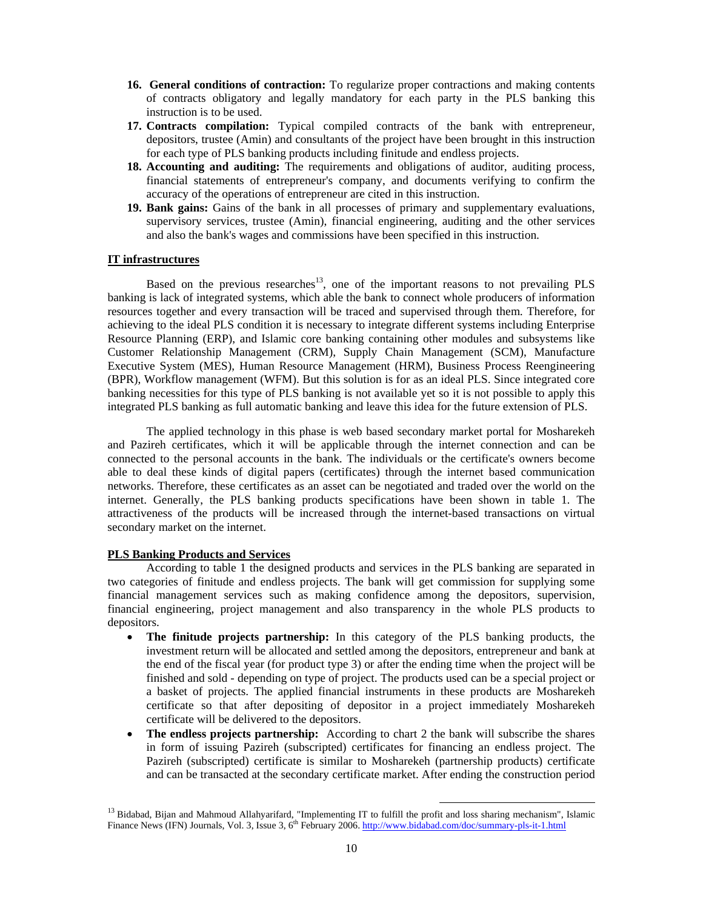- **16. General conditions of contraction:** To regularize proper contractions and making contents of contracts obligatory and legally mandatory for each party in the PLS banking this instruction is to be used.
- **17. Contracts compilation:** Typical compiled contracts of the bank with entrepreneur, depositors, trustee (Amin) and consultants of the project have been brought in this instruction for each type of PLS banking products including finitude and endless projects.
- **18. Accounting and auditing:** The requirements and obligations of auditor, auditing process, financial statements of entrepreneur's company, and documents verifying to confirm the accuracy of the operations of entrepreneur are cited in this instruction.
- **19. Bank gains:** Gains of the bank in all processes of primary and supplementary evaluations, supervisory services, trustee (Amin), financial engineering, auditing and the other services and also the bank's wages and commissions have been specified in this instruction.

# **IT infrastructures**

Based on the previous researches<sup>13</sup>, one of the important reasons to not prevailing PLS banking is lack of integrated systems, which able the bank to connect whole producers of information resources together and every transaction will be traced and supervised through them. Therefore, for achieving to the ideal PLS condition it is necessary to integrate different systems including Enterprise Resource Planning (ERP), and Islamic core banking containing other modules and subsystems like Customer Relationship Management (CRM), Supply Chain Management (SCM), Manufacture Executive System (MES), Human Resource Management (HRM), Business Process Reengineering (BPR), Workflow management (WFM). But this solution is for as an ideal PLS. Since integrated core banking necessities for this type of PLS banking is not available yet so it is not possible to apply this integrated PLS banking as full automatic banking and leave this idea for the future extension of PLS.

The applied technology in this phase is web based secondary market portal for Mosharekeh and Pazireh certificates, which it will be applicable through the internet connection and can be connected to the personal accounts in the bank. The individuals or the certificate's owners become able to deal these kinds of digital papers (certificates) through the internet based communication networks. Therefore, these certificates as an asset can be negotiated and traded over the world on the internet. Generally, the PLS banking products specifications have been shown in table 1. The attractiveness of the products will be increased through the internet-based transactions on virtual secondary market on the internet.

## **PLS Banking Products and Services**

 According to table 1 the designed products and services in the PLS banking are separated in two categories of finitude and endless projects. The bank will get commission for supplying some financial management services such as making confidence among the depositors, supervision, financial engineering, project management and also transparency in the whole PLS products to depositors.

- **The finitude projects partnership:** In this category of the PLS banking products, the investment return will be allocated and settled among the depositors, entrepreneur and bank at the end of the fiscal year (for product type 3) or after the ending time when the project will be finished and sold - depending on type of project. The products used can be a special project or a basket of projects. The applied financial instruments in these products are Mosharekeh certificate so that after depositing of depositor in a project immediately Mosharekeh certificate will be delivered to the depositors.
- The endless projects partnership: According to chart 2 the bank will subscribe the shares in form of issuing Pazireh (subscripted) certificates for financing an endless project. The Pazireh (subscripted) certificate is similar to Mosharekeh (partnership products) certificate and can be transacted at the secondary certificate market. After ending the construction period

<sup>&</sup>lt;sup>13</sup> Bidabad, Bijan and Mahmoud Allahyarifard, "Implementing IT to fulfill the profit and loss sharing mechanism", Islamic Finance News (IFN) Journals, Vol. 3, Issue 3, 6<sup>th</sup> February 2006. http://www.bidabad.com/doc/summary-pls-it-1.html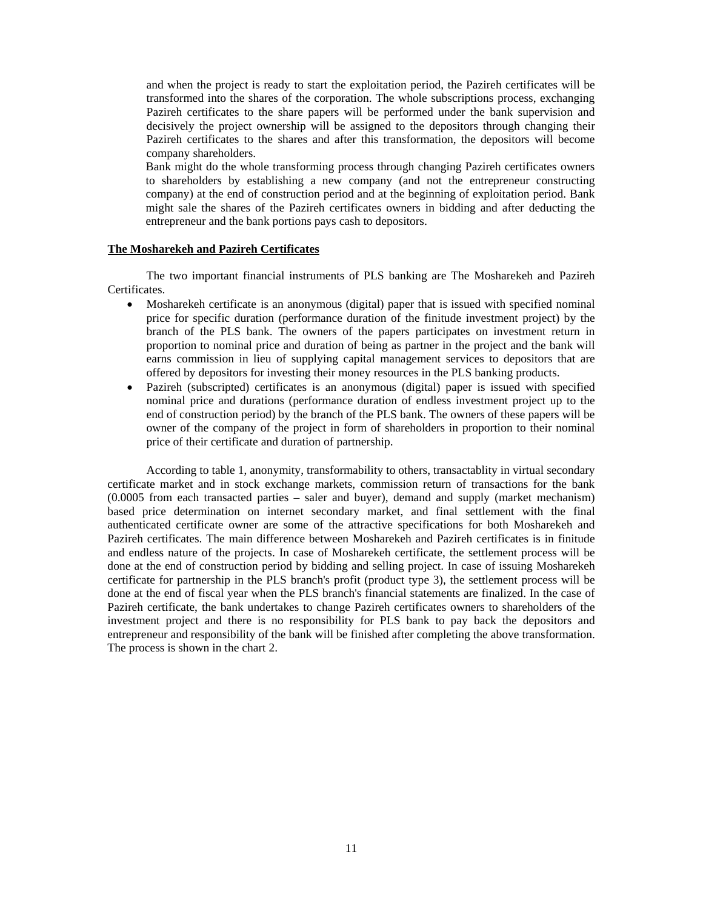and when the project is ready to start the exploitation period, the Pazireh certificates will be transformed into the shares of the corporation. The whole subscriptions process, exchanging Pazireh certificates to the share papers will be performed under the bank supervision and decisively the project ownership will be assigned to the depositors through changing their Pazireh certificates to the shares and after this transformation, the depositors will become company shareholders.

Bank might do the whole transforming process through changing Pazireh certificates owners to shareholders by establishing a new company (and not the entrepreneur constructing company) at the end of construction period and at the beginning of exploitation period. Bank might sale the shares of the Pazireh certificates owners in bidding and after deducting the entrepreneur and the bank portions pays cash to depositors.

## **The Mosharekeh and Pazireh Certificates**

 The two important financial instruments of PLS banking are The Mosharekeh and Pazireh Certificates.

- Mosharekeh certificate is an anonymous (digital) paper that is issued with specified nominal price for specific duration (performance duration of the finitude investment project) by the branch of the PLS bank. The owners of the papers participates on investment return in proportion to nominal price and duration of being as partner in the project and the bank will earns commission in lieu of supplying capital management services to depositors that are offered by depositors for investing their money resources in the PLS banking products.
- Pazireh (subscripted) certificates is an anonymous (digital) paper is issued with specified nominal price and durations (performance duration of endless investment project up to the end of construction period) by the branch of the PLS bank. The owners of these papers will be owner of the company of the project in form of shareholders in proportion to their nominal price of their certificate and duration of partnership.

According to table 1, anonymity, transformability to others, transactablity in virtual secondary certificate market and in stock exchange markets, commission return of transactions for the bank (0.0005 from each transacted parties – saler and buyer), demand and supply (market mechanism) based price determination on internet secondary market, and final settlement with the final authenticated certificate owner are some of the attractive specifications for both Mosharekeh and Pazireh certificates. The main difference between Mosharekeh and Pazireh certificates is in finitude and endless nature of the projects. In case of Mosharekeh certificate, the settlement process will be done at the end of construction period by bidding and selling project. In case of issuing Mosharekeh certificate for partnership in the PLS branch's profit (product type 3), the settlement process will be done at the end of fiscal year when the PLS branch's financial statements are finalized. In the case of Pazireh certificate, the bank undertakes to change Pazireh certificates owners to shareholders of the investment project and there is no responsibility for PLS bank to pay back the depositors and entrepreneur and responsibility of the bank will be finished after completing the above transformation. The process is shown in the chart 2.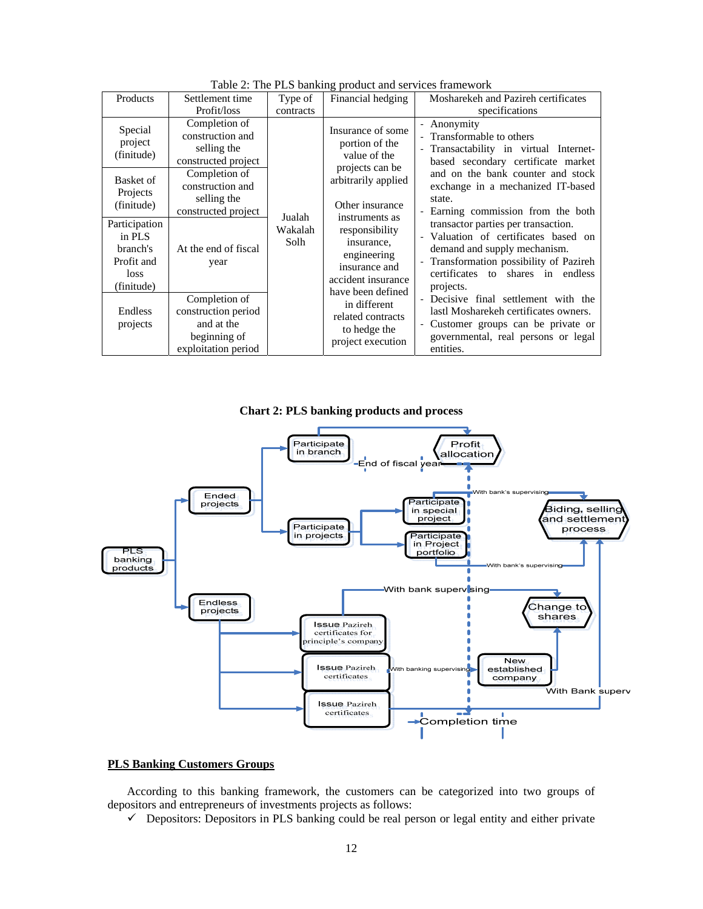| Table 2. The TLS banking product and services manic work                |                                                                                           |                           |                                                                                                                                                                                                                                                                                                                         |                                                                                                                                                                                                                                                                                                                                                                                                                                                                                                                                                                                                                                            |
|-------------------------------------------------------------------------|-------------------------------------------------------------------------------------------|---------------------------|-------------------------------------------------------------------------------------------------------------------------------------------------------------------------------------------------------------------------------------------------------------------------------------------------------------------------|--------------------------------------------------------------------------------------------------------------------------------------------------------------------------------------------------------------------------------------------------------------------------------------------------------------------------------------------------------------------------------------------------------------------------------------------------------------------------------------------------------------------------------------------------------------------------------------------------------------------------------------------|
| Products                                                                | Settlement time                                                                           | Type of                   | Financial hedging                                                                                                                                                                                                                                                                                                       | Mosharekeh and Pazireh certificates                                                                                                                                                                                                                                                                                                                                                                                                                                                                                                                                                                                                        |
|                                                                         | Profit/loss                                                                               | contracts                 |                                                                                                                                                                                                                                                                                                                         | specifications                                                                                                                                                                                                                                                                                                                                                                                                                                                                                                                                                                                                                             |
| Special<br>project<br>(finitude)                                        | Completion of<br>construction and<br>selling the<br>constructed project                   | Jualah<br>Wakalah<br>Solh | Insurance of some<br>portion of the<br>value of the<br>projects can be<br>arbitrarily applied<br>Other insurance<br>instruments as<br>responsibility<br>insurance,<br>engineering<br>insurance and<br>accident insurance<br>have been defined<br>in different<br>related contracts<br>to hedge the<br>project execution | - Anonymity<br>- Transformable to others<br>- Transactability in virtual Internet-<br>based secondary certificate market<br>and on the bank counter and stock<br>exchange in a mechanized IT-based<br>state.<br>- Earning commission from the both<br>transactor parties per transaction.<br>- Valuation of certificates based on<br>demand and supply mechanism.<br>- Transformation possibility of Pazireh<br>certificates to shares in endless<br>projects.<br>- Decisive final settlement with the<br>lastl Mosharekeh certificates owners.<br>- Customer groups can be private or<br>governmental, real persons or legal<br>entities. |
| Basket of<br>Projects<br>(finitude)                                     | Completion of<br>construction and<br>selling the<br>constructed project                   |                           |                                                                                                                                                                                                                                                                                                                         |                                                                                                                                                                                                                                                                                                                                                                                                                                                                                                                                                                                                                                            |
| Participation<br>in PLS<br>branch's<br>Profit and<br>loss<br>(finitude) | At the end of fiscal<br>year                                                              |                           |                                                                                                                                                                                                                                                                                                                         |                                                                                                                                                                                                                                                                                                                                                                                                                                                                                                                                                                                                                                            |
| Endless<br>projects                                                     | Completion of<br>construction period<br>and at the<br>beginning of<br>exploitation period |                           |                                                                                                                                                                                                                                                                                                                         |                                                                                                                                                                                                                                                                                                                                                                                                                                                                                                                                                                                                                                            |

Table 2: The PLS banking product and services framework





## **PLS Banking Customers Groups**

According to this banking framework, the customers can be categorized into two groups of depositors and entrepreneurs of investments projects as follows:

 $\checkmark$  Depositors: Depositors in PLS banking could be real person or legal entity and either private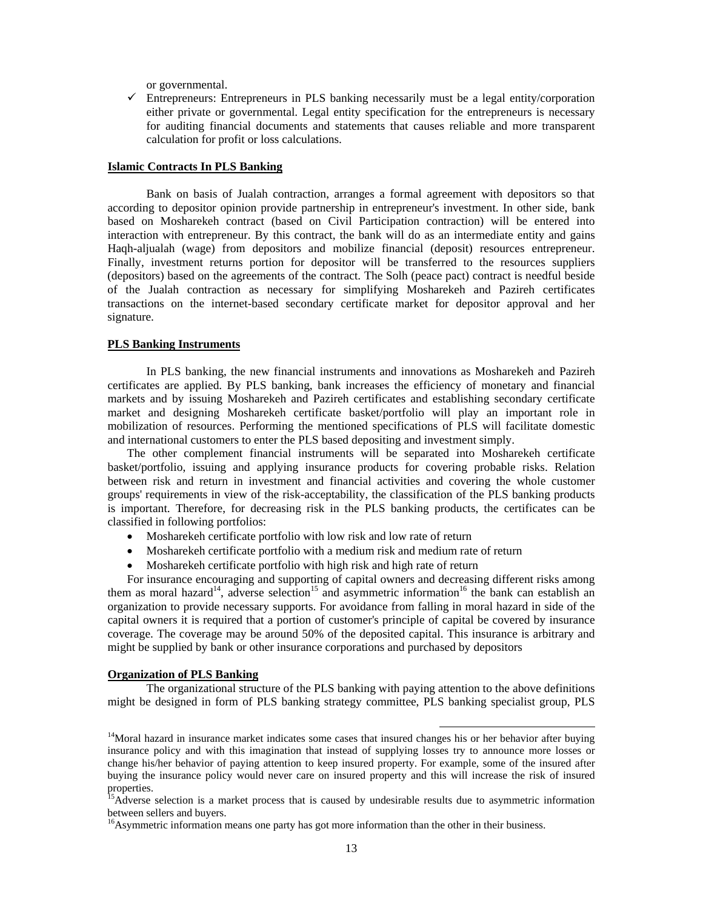or governmental.

 $\checkmark$  Entrepreneurs: Entrepreneurs in PLS banking necessarily must be a legal entity/corporation either private or governmental. Legal entity specification for the entrepreneurs is necessary for auditing financial documents and statements that causes reliable and more transparent calculation for profit or loss calculations.

#### **Islamic Contracts In PLS Banking**

 Bank on basis of Jualah contraction, arranges a formal agreement with depositors so that according to depositor opinion provide partnership in entrepreneur's investment. In other side, bank based on Mosharekeh contract (based on Civil Participation contraction) will be entered into interaction with entrepreneur. By this contract, the bank will do as an intermediate entity and gains Haqh-aljualah (wage) from depositors and mobilize financial (deposit) resources entrepreneur. Finally, investment returns portion for depositor will be transferred to the resources suppliers (depositors) based on the agreements of the contract. The Solh (peace pact) contract is needful beside of the Jualah contraction as necessary for simplifying Mosharekeh and Pazireh certificates transactions on the internet-based secondary certificate market for depositor approval and her signature.

#### **PLS Banking Instruments**

In PLS banking, the new financial instruments and innovations as Mosharekeh and Pazireh certificates are applied. By PLS banking, bank increases the efficiency of monetary and financial markets and by issuing Mosharekeh and Pazireh certificates and establishing secondary certificate market and designing Mosharekeh certificate basket/portfolio will play an important role in mobilization of resources. Performing the mentioned specifications of PLS will facilitate domestic and international customers to enter the PLS based depositing and investment simply.

The other complement financial instruments will be separated into Mosharekeh certificate basket/portfolio, issuing and applying insurance products for covering probable risks. Relation between risk and return in investment and financial activities and covering the whole customer groups' requirements in view of the risk-acceptability, the classification of the PLS banking products is important. Therefore, for decreasing risk in the PLS banking products, the certificates can be classified in following portfolios:

- Mosharekeh certificate portfolio with low risk and low rate of return
- Mosharekeh certificate portfolio with a medium risk and medium rate of return
- Mosharekeh certificate portfolio with high risk and high rate of return

For insurance encouraging and supporting of capital owners and decreasing different risks among them as moral hazard<sup>14</sup>, adverse selection<sup>15</sup> and asymmetric information<sup>16</sup> the bank can establish an organization to provide necessary supports. For avoidance from falling in moral hazard in side of the capital owners it is required that a portion of customer's principle of capital be covered by insurance coverage. The coverage may be around 50% of the deposited capital. This insurance is arbitrary and might be supplied by bank or other insurance corporations and purchased by depositors

#### **Organization of PLS Banking**

 The organizational structure of the PLS banking with paying attention to the above definitions might be designed in form of PLS banking strategy committee, PLS banking specialist group, PLS

<sup>16</sup>Asymmetric information means one party has got more information than the other in their business.

<sup>&</sup>lt;sup>14</sup>Moral hazard in insurance market indicates some cases that insured changes his or her behavior after buying insurance policy and with this imagination that instead of supplying losses try to announce more losses or change his/her behavior of paying attention to keep insured property. For example, some of the insured after buying the insurance policy would never care on insured property and this will increase the risk of insured properties.

<sup>15</sup>Adverse selection is a market process that is caused by undesirable results due to asymmetric information between sellers and buyers.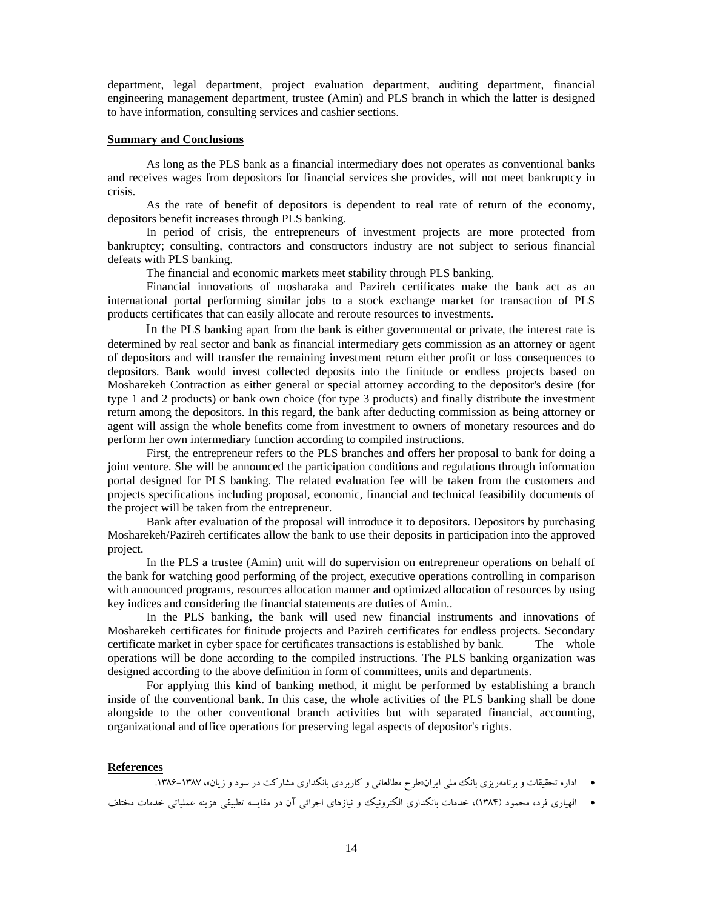department, legal department, project evaluation department, auditing department, financial engineering management department, trustee (Amin) and PLS branch in which the latter is designed to have information, consulting services and cashier sections.

## **Summary and Conclusions**

As long as the PLS bank as a financial intermediary does not operates as conventional banks and receives wages from depositors for financial services she provides, will not meet bankruptcy in crisis.

As the rate of benefit of depositors is dependent to real rate of return of the economy, depositors benefit increases through PLS banking.

In period of crisis, the entrepreneurs of investment projects are more protected from bankruptcy; consulting, contractors and constructors industry are not subject to serious financial defeats with PLS banking.

The financial and economic markets meet stability through PLS banking.

Financial innovations of mosharaka and Pazireh certificates make the bank act as an international portal performing similar jobs to a stock exchange market for transaction of PLS products certificates that can easily allocate and reroute resources to investments.

In the PLS banking apart from the bank is either governmental or private, the interest rate is determined by real sector and bank as financial intermediary gets commission as an attorney or agent of depositors and will transfer the remaining investment return either profit or loss consequences to depositors. Bank would invest collected deposits into the finitude or endless projects based on Mosharekeh Contraction as either general or special attorney according to the depositor's desire (for type 1 and 2 products) or bank own choice (for type 3 products) and finally distribute the investment return among the depositors. In this regard, the bank after deducting commission as being attorney or agent will assign the whole benefits come from investment to owners of monetary resources and do perform her own intermediary function according to compiled instructions.

 First, the entrepreneur refers to the PLS branches and offers her proposal to bank for doing a joint venture. She will be announced the participation conditions and regulations through information portal designed for PLS banking. The related evaluation fee will be taken from the customers and projects specifications including proposal, economic, financial and technical feasibility documents of the project will be taken from the entrepreneur.

 Bank after evaluation of the proposal will introduce it to depositors. Depositors by purchasing Mosharekeh/Pazireh certificates allow the bank to use their deposits in participation into the approved project.

 In the PLS a trustee (Amin) unit will do supervision on entrepreneur operations on behalf of the bank for watching good performing of the project, executive operations controlling in comparison with announced programs, resources allocation manner and optimized allocation of resources by using key indices and considering the financial statements are duties of Amin..

 In the PLS banking, the bank will used new financial instruments and innovations of Mosharekeh certificates for finitude projects and Pazireh certificates for endless projects. Secondary certificate market in cyber space for certificates transactions is established by bank. The whole operations will be done according to the compiled instructions. The PLS banking organization was designed according to the above definition in form of committees, units and departments.

For applying this kind of banking method, it might be performed by establishing a branch inside of the conventional bank. In this case, the whole activities of the PLS banking shall be done alongside to the other conventional branch activities but with separated financial, accounting, organizational and office operations for preserving legal aspects of depositor's rights.

#### **References**

اداره تحقيقات و برنامهريزي بانك ملي ايران«طرح مطالعاتي و كاربردي بانكداري مشاركت در سود و زيان»، .1386-1387

```
 الهياري فرد، محمود (1384)، خدمات بانكداري الكترونيك و نيازهاي اجرائي آن در مقايسه تطبيقي هزينه عملياتي خدمات مختلف
```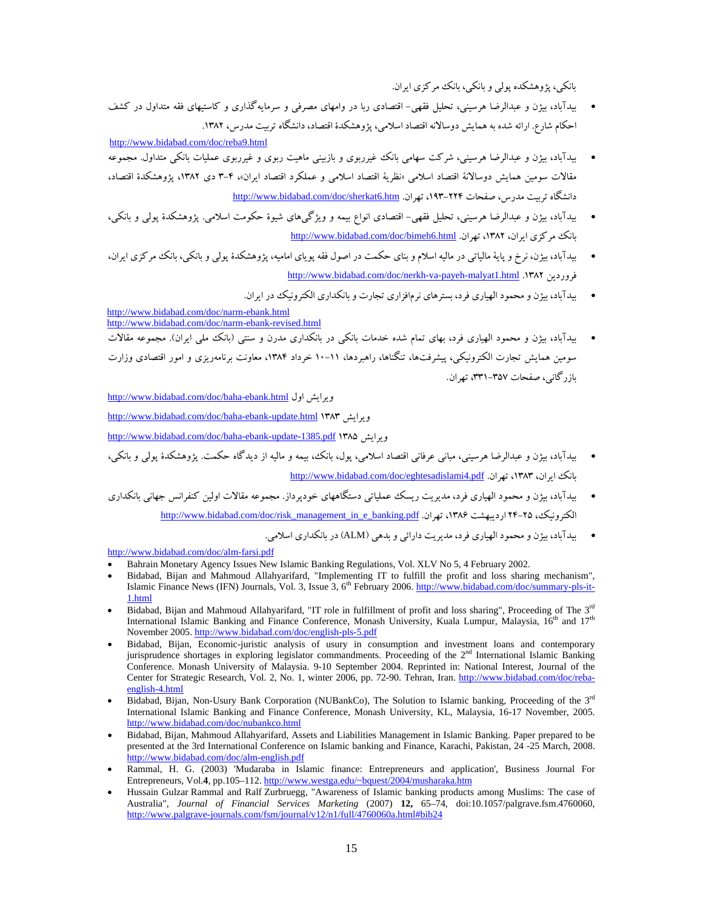بانكي، پژوهشكده پولي و بانكي، بانك مركزي ايران.

 بيدآباد، بيژن و عبدالرضا هرسيني، تحليل فقهي- اقتصادي ربا در وامهاي مصرفي و سرمايهگذاري و كاستيهاي فقه متداول در كشف احكام شارع. ارائه شده به همايش دوسالانه اقتصاد اسلامي، پژوهشكدة اقتصاد، دانشگاه تربيت مدرس، .1382

http://www.bidabad.com/doc/reba9.html

- بيدآباد، بيژن و عبدالرضا هرسيني، شركت سهامي بانك غيرربوي و بازبيني ماهيت ربوي و غيرربوي عمليات بانكي متداول. مجموعه مقالات سومين همايش دوسالانة اقتصاد اسلامي «نظرية اقتصاد اسلامي و عملكرد اقتصاد ايران»، 3-4 دي ،1382 پژوهشكدة اقتصاد، دانشگاه تربيت مدرس، صفحات ۲۲۴–۱۹۳، تهران. http://www.bidabad.com/doc/sherkat6.htm
- بيدآباد، بيژن و عبدالرضا هرسيني، تحليل فقهي- اقتصادي انواع بيمه و ويژگيهاي شيوة حكومت اسلامي. پژوهشكدة پولي و بانكي، http://www.bidabad.com/doc/bimeh6.html .تهران ،1382 ،ايران مركزي بانك
- بيدآباد، بيژن، نرخ و پاية مالياتي در ماليه اسلام و بناي حكمت در اصول فقه پوياي اماميه، پژوهشكدة پولي و بانكي، بانك مركزي ايران، http://www.bidabad.com/doc/nerkh-va-payeh-malyat1.html .1382 فروردين
	- بيدآباد، بيژن و محمود الهياري فرد، بسترهاي نرمافزاري تجارت و بانكداري الكترونيك در ايران.

http://www.bidabad.com/doc/narm-ebank.html http://www.bidabad.com/doc/narm-ebank-revised.html

 بيدآباد، بيژن و محمود الهياري فرد، بهاي تمام شده خدمات بانكي در بانكداري مدرن و سنتي (بانك ملي ايران). مجموعه مقالات سومين همايش تجارت الكترونيكي، پيشرفتها، تنگناها، راهبردها، 10-11 خرداد ،1384 معاونت برنامهريزي و امور اقتصادي وزارت بازرگاني، صفحات ،331-357 تهران.

http://www.bidabad.com/doc/baha-ebank.html اول ويرايش

http://www.bidabad.com/doc/baha-ebank-update.html 1383 ويرايش

http://www.bidabad.com/doc/baha-ebank-update-1385.pdf 1385 ويرايش

- بيدآباد، بيژن و عبدالرضا هرسيني، مباني عرفاني اقتصاد اسلامي، پول، بانك، بيمه و ماليه از ديدگاه حكمت. پژوهشكدة پولي و بانكي، http://www.bidabad.com/doc/eghtesadislami4.pdf . تهران .1581 ،1383 ،ايران بان بانك
- بيدآباد، بيژن و محمود الهياري فرد، مديريت ريسك عملياتي دستگاههاي خودپرداز. مجموعه مقالات اولين كنفرانس جهاني بانكداري http://www.bidabad.com/doc/risk\_management\_in\_e\_banking.pdf .تهران ،1386 ارديبهشت 24-25 ،الكترونيك

بيدآباد، بيژن و محمود الهياري فرد، مديريت دارائي و بدهي (ALM (در بانكداري اسلامي.

http://www.bidabad.com/doc/alm-farsi.pdf

- Bahrain Monetary Agency Issues New Islamic Banking Regulations, Vol. XLV No 5, 4 February 2002.
- Bidabad, Bijan and Mahmoud Allahyarifard, "Implementing IT to fulfill the profit and loss sharing mechanism", Islamic Finance News (IFN) Journals, Vol. 3, Issue 3, 6<sup>th</sup> February 2006. http://www.bidabad.com/doc/summary-pls-it-1.html
- $\bullet$  Bidabad, Bijan and Mahmoud Allahyarifard, "IT role in fulfillment of profit and loss sharing", Proceeding of The  $3^{rd}$ International Islamic Banking and Finance Conference, Monash University, Kuala Lumpur, Malaysia, 16<sup>th</sup> and 17<sup>th</sup> November 2005. http://www.bidabad.com/doc/english-pls-5.pdf
- Bidabad, Bijan, Economic-juristic analysis of usury in consumption and investment loans and contemporary jurisprudence shortages in exploring legislator commandments. Proceeding of the 2<sup>nd</sup> International Islamic Banking Conference. Monash University of Malaysia. 9-10 September 2004. Reprinted in: National Interest, Journal of the Center for Strategic Research, Vol. 2, No. 1, winter 2006, pp. 72-90. Tehran, Iran. http://www.bidabad.com/doc/rebaenglish-4.html
- $\bullet$  Bidabad, Bijan, Non-Usury Bank Corporation (NUBankCo), The Solution to Islamic banking, Proceeding of the 3<sup>rd</sup> International Islamic Banking and Finance Conference, Monash University, KL, Malaysia, 16-17 November, 2005. http://www.bidabad.com/doc/nubankco.html
- Bidabad, Bijan, Mahmoud Allahyarifard, Assets and Liabilities Management in Islamic Banking. Paper prepared to be presented at the 3rd International Conference on Islamic banking and Finance, Karachi, Pakistan, 24 -25 March, 2008. http://www.bidabad.com/doc/alm-english.pdf
- Rammal, H. G. (2003) 'Mudaraba in Islamic finance: Entrepreneurs and application', Business Journal For Entrepreneurs, Vol.**4**, pp.105–112. http://www.westga.edu/~bquest/2004/musharaka.htm
- Hussain Gulzar Rammal and Ralf Zurbruegg, "Awareness of Islamic banking products among Muslims: The case of Australia", *Journal of Financial Services Marketing* (2007) **12,** 65–74, doi:10.1057/palgrave.fsm.4760060, http://www.palgrave-journals.com/fsm/journal/v12/n1/full/4760060a.html#bib24